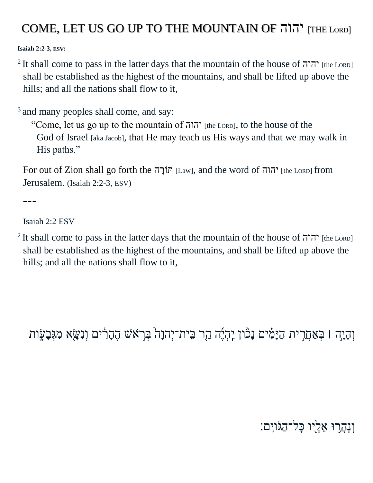## COME, LET US GO UP TO THE MOUNTAIN OF יהוה] THE LORD]

**Isaiah 2:2-3, ESV:**

<sup>2</sup>It shall come to pass in the latter days that the mountain of the house of  $\pi$ הוה? [the LORD] shall be established as the highest of the mountains, and shall be lifted up above the hills; and all the nations shall flow to it,

<sup>[3](http://biblehub.com/isaiah/2-3.htm)</sup> and many peoples shall come, and say:

"Come, let us go up to the mountain of יהוה [the LORD], to the house of the God of Israel [aka Jacob], that He may teach us His ways and that we may walk in His paths."

For out of Zion shall go forth the ה ָוֹרּת] Law], and the word of יהוה] the <sup>L</sup>ORD] from Jerusalem. (Isaiah 2:2-3, ESV)

**---**

Isaiah 2:2 ESV

<sup>2</sup> It shall come to pass in the latter days that the mountain of the house of יהוה? [the LORD] shall be established as the highest of the mountains, and shall be lifted up above the hills; and all the nations shall flow to it,

וְהָיָה l בְּאַחֲרִית הַיָּמִ֫ים נָכוּו יְהְיֶה הַר בִּית־יְהוָה בְּרָאֹשׁ הֶהָרִ֫ים וְנִשָּׂא מִגְּבָעָׂות

## וְנָהֲרוּ אֵלָיו כָּל־הַגוֹיֵם: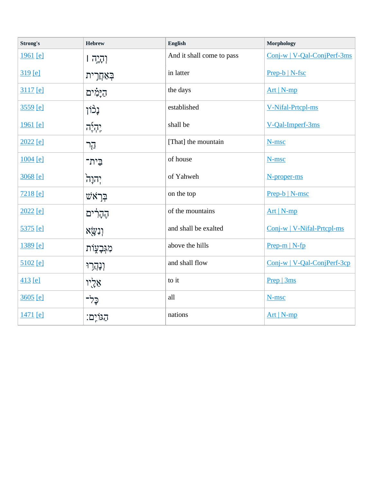| Strong's        | <b>Hebrew</b>                | English                   | Morphology                  |
|-----------------|------------------------------|---------------------------|-----------------------------|
| 1961 [e]        | וְהָיָה ו                    | And it shall come to pass | Conj-w   V-Qal-ConjPerf-3ms |
| $319$ [e]       | <u>בְּאַחֲ</u> רִית          | in latter                 | Prep-b   N-fsc              |
| 3117 [e]        | הַיְּמִ֫ים                   | the days                  | $Art   N-mp$                |
| <u>3559 [e]</u> | <b>ְיָ</b>                   | established               | V-Nifal-Prtcpl-ms           |
| 1961 [e]        | $7\overline{?}7\overline{?}$ | shall be                  | V-Qal-Imperf-3ms            |
| 2022 [e]        | הָר                          | [That] the mountain       | N-msc                       |
| $1004$ [e]      | בֵית־                        | of house                  | N-msc                       |
| 3068 [e]        | יְהוָה                       | of Yahweh                 | N-proper-ms                 |
| $7218$ [e]      | ײַראש                        | on the top                | Prep-b   N-msc              |
| $2022$ [e]      | הֶהָרִ <sup>ּ</sup> ים       | of the mountains          | $Art   N-mp$                |
| <u>5375 [e]</u> | וְנִשֳא                      | and shall be exalted      | Conj-w   V-Nifal-Prtcpl-ms  |
| 1389 [e]        | מִגְּבָעָוֹת                 | above the hills           | $Prep-m   N-fp$             |
| $5102$ [e]      | <b>וְנָהְרֵוּ</b>            | and shall flow            | Conj-w   V-Qal-ConjPerf-3cp |
| $413$ [e]       | אֵלֶיו                       | to it                     | Prep   3ms                  |
| 3605 [e]        | כָּלִ־                       | all                       | N-msc                       |
| <u>1471</u> [e] | הגוֹיִם:                     | nations                   | Art   N-mp                  |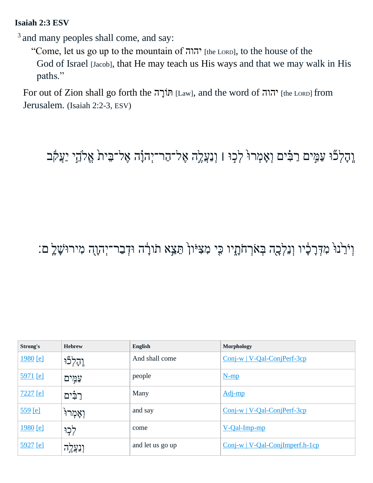## **Isaiah 2:3 ESV**

<sup>[3](http://biblehub.com/isaiah/2-3.htm)</sup> and many peoples shall come, and say:

"Come, let us go up to the mountain of יהוה? [the LORD], to the house of the God of Israel [Jacob], that He may teach us His ways and that we may walk in His paths."

For out of Zion shall go forth the ה ָוֹרּת] Law], and the word of יהוה] the <sup>L</sup>ORD] from Jerusalem. (Isaiah 2:2-3, ESV)

## וְהָלְכືוּ עַמְּים רַבִּ֫ים וְאָמְרוּ לְכָוּ l וְנַעֲלֶה אֶל־הַר־יְהוָ֫ה אֶל־בֵּית אֱלֹהֵי יַעֲקֹב

וְיֹרֵ<sup>נוּ</sup> מִדְּרָכְ֫יו וְנֵלְכָה בְּאֹרְחֹתָיו כִּי מִצִּיּוֹן הֵצֵא תֹודָה וּדְבַר־יְהוָה מִירוּשָׁלֵֽ ם:

| Strong's   | <b>Hebrew</b>    | <b>English</b>   | Morphology                        |
|------------|------------------|------------------|-----------------------------------|
| 1980 [e]   | וְהָלְכוּ        | And shall come   | $Conj-w$   V-Qal-ConjPerf-3cp     |
| 5971 [e]   | עַמְים           | people           | $N-mp$                            |
| $7227$ [e] | רַבִּים          | Many             | Adj-mp                            |
| $559$ [e]  | יְאָמְרוּ        | and say          | $Conj-w$   V-Qal-ConjPerf-3cp     |
| 1980 [e]   | לְכָוּ           | come             | $V$ -Qal-Imp-mp                   |
| $5927$ [e] | <u>וְנִעֲלֶה</u> | and let us go up | $Conj-w$   V-Qal-ConjImperf.h-1cp |